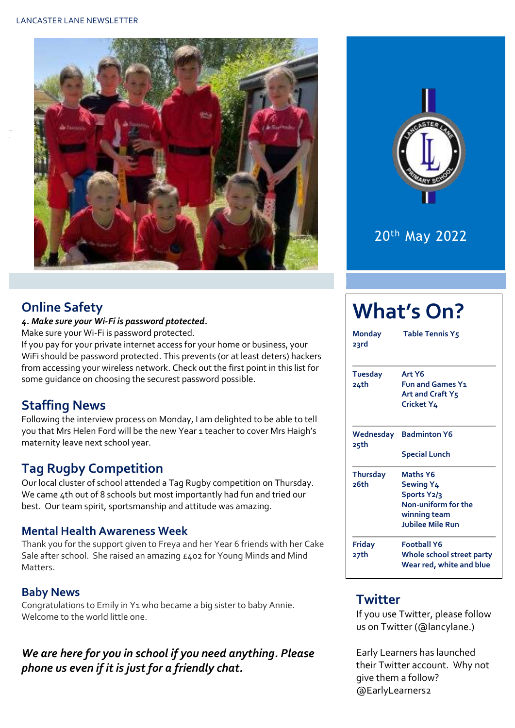



## 20th May 2022

**What's On?**

### **Online Safety**

Y

#### *4. Make sure your Wi-Fi is password ptotected.*

Make sure your Wi-Fi is password protected.

If you pay for your private internet access for your home or business, your WiFi should be password protected. This prevents (or at least deters) hackers from accessing your wireless network. Check out the first point in this list for some guidance on choosing the securest password possible.

## **Staffing News**

Following the interview process on Monday, I am delighted to be able to tell you that Mrs Helen Ford will be the new Year 1 teacher to cover Mrs Haigh's maternity leave next school year.

## **Tag Rugby Competition**

Our local cluster of school attended a Tag Rugby competition on Thursday. We came 4th out of 8 schools but most importantly had fun and tried our best. Our team spirit, sportsmanship and attitude was amazing.

#### **Mental Health Awareness Week**

Thank you for the support given to Freya and her Year 6 friends with her Cake Sale after school. She raised an amazing £402 for Young Minds and Mind Matters.

#### **Baby News**

Congratulations to Emily in Y1 who became a big sister to baby Annie. Welcome to the world little one.

#### *We are here for you in school if you need anything. Please phone us even if it is just for a friendly chat.*

#### **Monday Table Tennis Y5 23rd Tuesday Art Y6 24th Fun and Games Y1 Art and Craft Y5 Cricket Y4 Wednesday Badminton Y6 25th Special Lunch Thursday Maths Y6 26th Sewing Y4 Sports Y2/3 Non-uniform for the winning team Jubilee Mile Run Friday Football Y6 27th Whole school street party Wear red, white and blue**

## **Twitter**

If you use Twitter, please follow us on Twitter (@lancylane.)

Early Learners has launched their Twitter account. Why not give them a follow? @EarlyLearners2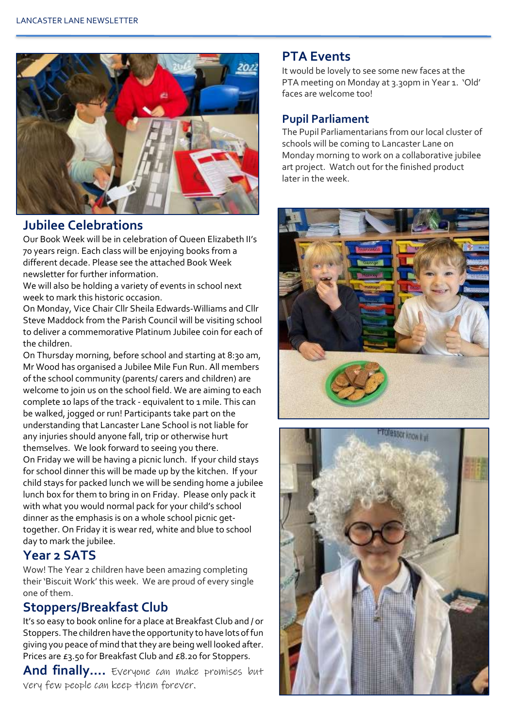

#### **Jubilee Celebrations**

Our Book Week will be in celebration of Queen Elizabeth II's 70 years reign. Each class will be enjoying books from a different decade. Please see the attached Book Week newsletter for further information.

We will also be holding a variety of events in school next week to mark this historic occasion.

On Monday, Vice Chair Cllr Sheila Edwards-Williams and Cllr Steve Maddock from the Parish Council will be visiting school to deliver a commemorative Platinum Jubilee coin for each of the children.

On Thursday morning, before school and starting at 8:30 am, Mr Wood has organised a Jubilee Mile Fun Run. All members of the school community (parents/ carers and children) are welcome to join us on the school field. We are aiming to each complete 10 laps of the track - equivalent to 1 mile. This can be walked, jogged or run! Participants take part on the understanding that Lancaster Lane School is not liable for any injuries should anyone fall, trip or otherwise hurt themselves. We look forward to seeing you there. On Friday we will be having a picnic lunch. If your child stays for school dinner this will be made up by the kitchen. If your child stays for packed lunch we will be sending home a jubilee lunch box for them to bring in on Friday. Please only pack it with what you would normal pack for your child's school dinner as the emphasis is on a whole school picnic gettogether. On Friday it is wear red, white and blue to school day to mark the jubilee.

#### **Year 2 SATS**

Wow! The Year 2 children have been amazing completing their 'Biscuit Work' this week. We are proud of every single one of them.

#### **Stoppers/Breakfast Club**

It's so easy to book online for a place at Breakfast Club and / or Stoppers. The children have the opportunity to have lots of fun giving you peace of mind that they are being well looked after. Prices are £3.50 for Breakfast Club and £8.20 for Stoppers.

**And finally….** Everyone can make promises but very few people can keep them forever.

#### **PTA Events**

It would be lovely to see some new faces at the PTA meeting on Monday at 3.30pm in Year 1. 'Old' faces are welcome too!

#### **Pupil Parliament**

The Pupil Parliamentarians from our local cluster of schools will be coming to Lancaster Lane on Monday morning to work on a collaborative jubilee art project. Watch out for the finished product later in the week.